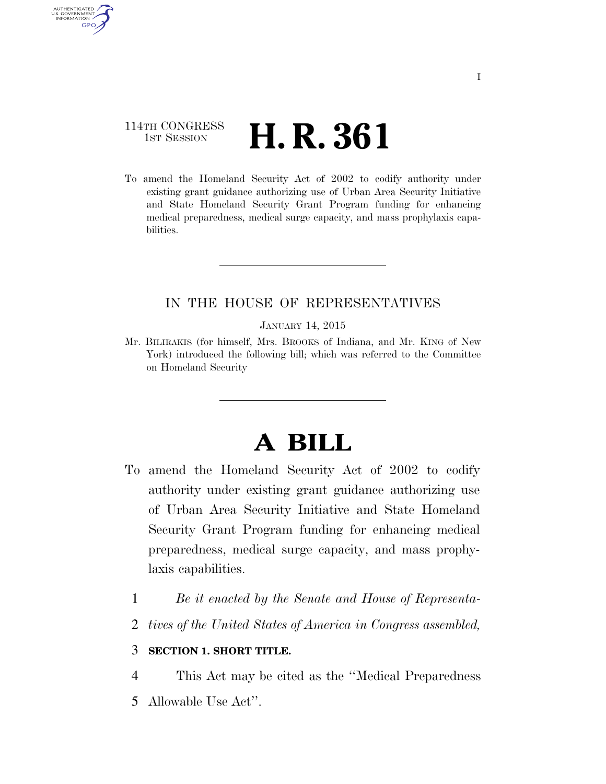## 114TH CONGRESS 1st Session **H. R. 361**

AUTHENTICATED U.S. GOVERNMENT **GPO** 

> To amend the Homeland Security Act of 2002 to codify authority under existing grant guidance authorizing use of Urban Area Security Initiative and State Homeland Security Grant Program funding for enhancing medical preparedness, medical surge capacity, and mass prophylaxis capabilities.

## IN THE HOUSE OF REPRESENTATIVES

JANUARY 14, 2015

Mr. BILIRAKIS (for himself, Mrs. BROOKS of Indiana, and Mr. KING of New York) introduced the following bill; which was referred to the Committee on Homeland Security

## **A BILL**

- To amend the Homeland Security Act of 2002 to codify authority under existing grant guidance authorizing use of Urban Area Security Initiative and State Homeland Security Grant Program funding for enhancing medical preparedness, medical surge capacity, and mass prophylaxis capabilities.
	- 1 *Be it enacted by the Senate and House of Representa-*
	- 2 *tives of the United States of America in Congress assembled,*

## 3 **SECTION 1. SHORT TITLE.**

4 This Act may be cited as the ''Medical Preparedness

5 Allowable Use Act''.